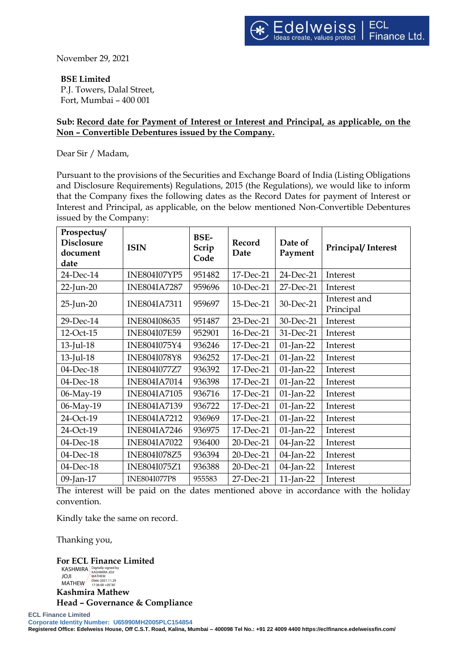November 29, 2021

## **BSE Limited**

P.J. Towers, Dalal Street, Fort, Mumbai – 400 001

## **Sub: Record date for Payment of Interest or Interest and Principal, as applicable, on the Non – Convertible Debentures issued by the Company.**

Dear Sir / Madam,

Pursuant to the provisions of the Securities and Exchange Board of India (Listing Obligations and Disclosure Requirements) Regulations, 2015 (the Regulations), we would like to inform that the Company fixes the following dates as the Record Dates for payment of Interest or Interest and Principal, as applicable, on the below mentioned Non-Convertible Debentures issued by the Company:

| Prospectus/<br><b>Disclosure</b><br>document<br>date | <b>ISIN</b>         | <b>BSE-</b><br>Scrip<br>Code | Record<br>Date | Date of<br>Payment | Principal/Interest        |
|------------------------------------------------------|---------------------|------------------------------|----------------|--------------------|---------------------------|
| 24-Dec-14                                            | <b>INE804I07YP5</b> | 951482                       | 17-Dec-21      | 24-Dec-21          | Interest                  |
| 22-Jun-20                                            | <b>INE804IA7287</b> | 959696                       | 10-Dec-21      | 27-Dec-21          | Interest                  |
| $25$ -Jun- $20$                                      | <b>INE804IA7311</b> | 959697                       | 15-Dec-21      | 30-Dec-21          | Interest and<br>Principal |
| 29-Dec-14                                            | INE804I08635        | 951487                       | 23-Dec-21      | 30-Dec-21          | Interest                  |
| 12-Oct-15                                            | <b>INE804I07E59</b> | 952901                       | 16-Dec-21      | 31-Dec-21          | Interest                  |
| $13$ -Jul-18                                         | INE804I075Y4        | 936246                       | 17-Dec-21      | $01$ -Jan-22       | Interest                  |
| $13$ -Jul- $18$                                      | <b>INE804I078Y8</b> | 936252                       | 17-Dec-21      | 01-Jan-22          | Interest                  |
| 04-Dec-18                                            | <b>INE804I077Z7</b> | 936392                       | 17-Dec-21      | 01-Jan-22          | Interest                  |
| 04-Dec-18                                            | <b>INE804IA7014</b> | 936398                       | 17-Dec-21      | $01$ -Jan-22       | Interest                  |
| 06-May-19                                            | <b>INE804IA7105</b> | 936716                       | 17-Dec-21      | 01-Jan-22          | Interest                  |
| 06-May-19                                            | <b>INE804IA7139</b> | 936722                       | 17-Dec-21      | $01$ -Jan-22       | Interest                  |
| 24-Oct-19                                            | <b>INE804IA7212</b> | 936969                       | 17-Dec-21      | $01$ -Jan-22       | Interest                  |
| 24-Oct-19                                            | <b>INE804IA7246</b> | 936975                       | 17-Dec-21      | $01$ -Jan-22       | Interest                  |
| 04-Dec-18                                            | <b>INE804IA7022</b> | 936400                       | 20-Dec-21      | 04-Jan-22          | Interest                  |
| 04-Dec-18                                            | <b>INE804I078Z5</b> | 936394                       | 20-Dec-21      | 04-Jan-22          | Interest                  |
| 04-Dec-18                                            | INE804I075Z1        | 936388                       | 20-Dec-21      | 04-Jan-22          | Interest                  |
| 09-Jan-17                                            | <b>INE804I077P8</b> | 955583                       | 27-Dec-21      | 11-Jan-22          | Interest                  |

The interest will be paid on the dates mentioned above in accordance with the holiday convention.

Kindly take the same on record.

Thanking you,

**For ECL Finance Limited** KASHMIRA JOJI **MATHEW** Digitally signed by KASHMIRA JOJI MATHEW Date: 2021.11.29 17:36:00 +05'30'

**Kashmira Mathew Head – Governance & Compliance**